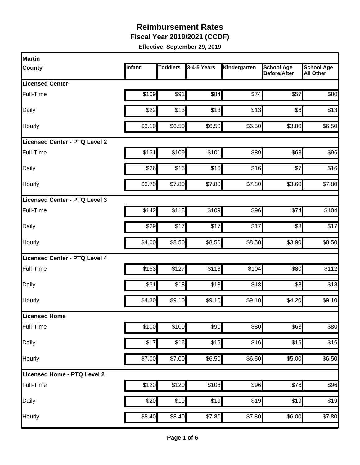**Fiscal Year 2019/2021 (CCDF)**

| Infant | <b>Toddlers</b> | 3-4-5 Years              | Kindergarten                                                                                                       |                                          |                                                                                                                                                                                                          |
|--------|-----------------|--------------------------|--------------------------------------------------------------------------------------------------------------------|------------------------------------------|----------------------------------------------------------------------------------------------------------------------------------------------------------------------------------------------------------|
|        |                 |                          |                                                                                                                    | <b>School Age</b><br><b>Before/After</b> | <b>School Age</b><br><b>All Other</b>                                                                                                                                                                    |
|        |                 |                          |                                                                                                                    |                                          |                                                                                                                                                                                                          |
| \$109  | \$91            | \$84                     | \$74                                                                                                               | \$57                                     | \$80                                                                                                                                                                                                     |
| \$22   |                 | \$13                     |                                                                                                                    |                                          | \$13                                                                                                                                                                                                     |
| \$3.10 |                 | \$6.50                   |                                                                                                                    |                                          | \$6.50                                                                                                                                                                                                   |
|        |                 |                          |                                                                                                                    |                                          |                                                                                                                                                                                                          |
| \$131  |                 | \$101                    |                                                                                                                    | \$68                                     | \$96                                                                                                                                                                                                     |
| \$26   |                 | \$16                     |                                                                                                                    | \$7                                      | \$16                                                                                                                                                                                                     |
| \$3.70 |                 | \$7.80                   |                                                                                                                    |                                          | \$7.80                                                                                                                                                                                                   |
|        |                 |                          |                                                                                                                    |                                          |                                                                                                                                                                                                          |
| \$142  |                 | \$109                    |                                                                                                                    | \$74                                     | \$104                                                                                                                                                                                                    |
| \$29   | \$17            | \$17                     | \$17                                                                                                               |                                          | \$17                                                                                                                                                                                                     |
| \$4.00 |                 | \$8.50                   |                                                                                                                    | \$3.90                                   | \$8.50                                                                                                                                                                                                   |
|        |                 |                          |                                                                                                                    |                                          |                                                                                                                                                                                                          |
| \$153  | \$127           | \$118                    | \$104                                                                                                              | \$80                                     | \$112                                                                                                                                                                                                    |
| \$31   |                 | \$18                     |                                                                                                                    |                                          | \$18                                                                                                                                                                                                     |
| \$4.30 |                 | \$9.10                   |                                                                                                                    |                                          | \$9.10                                                                                                                                                                                                   |
|        |                 |                          |                                                                                                                    |                                          |                                                                                                                                                                                                          |
|        |                 | \$90                     |                                                                                                                    | \$63                                     | \$80                                                                                                                                                                                                     |
| \$17   |                 |                          |                                                                                                                    |                                          | \$16                                                                                                                                                                                                     |
|        |                 | \$6.50                   |                                                                                                                    |                                          | \$6.50                                                                                                                                                                                                   |
|        |                 |                          |                                                                                                                    |                                          |                                                                                                                                                                                                          |
|        |                 |                          |                                                                                                                    |                                          | \$96                                                                                                                                                                                                     |
| \$20   | \$19            | \$19                     | \$19                                                                                                               | \$19                                     | \$19                                                                                                                                                                                                     |
|        |                 |                          |                                                                                                                    |                                          |                                                                                                                                                                                                          |
|        |                 | \$100<br>\$7.00<br>\$120 | \$13<br>\$6.50<br>\$109<br>\$16<br>\$7.80<br>\$118<br>\$8.50<br>\$18<br>\$9.10<br>\$100<br>\$16<br>\$7.00<br>\$120 | \$16<br>\$108                            | \$13<br>\$6]<br>\$6.50<br>\$3.00<br>\$89<br>\$16<br>\$7.80<br>\$3.60<br>\$96<br>s8<br>\$8.50<br>\$18<br> 88 <br>\$9.10<br>\$4.20<br>\$80<br>\$16<br>\$16<br>\$6.50<br>\$5.00<br>\$96<br>$\overline{$}76$ |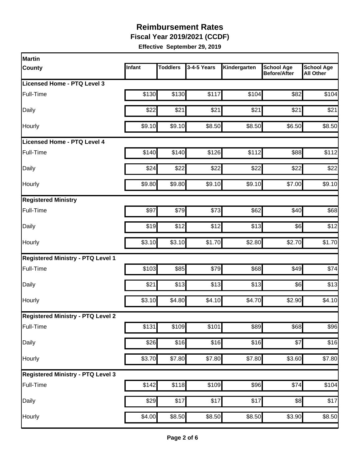**Fiscal Year 2019/2021 (CCDF)**

| Martin                                   |        |                 |             |                    |                                          |                                       |
|------------------------------------------|--------|-----------------|-------------|--------------------|------------------------------------------|---------------------------------------|
| County                                   | Infant | <b>Toddlers</b> | 3-4-5 Years | Kindergarten       | <b>School Age</b><br><b>Before/After</b> | <b>School Age</b><br><b>All Other</b> |
| Licensed Home - PTQ Level 3              |        |                 |             |                    |                                          |                                       |
| Full-Time                                | \$130  | \$130           | \$117       | \$104              | \$82                                     | \$104                                 |
| Daily                                    | \$22   | \$21            | \$21        | \$21               | \$21                                     | \$21                                  |
| Hourly                                   | \$9.10 | \$9.10          | \$8.50      | \$8.50             | \$6.50                                   | \$8.50                                |
| <b>Licensed Home - PTQ Level 4</b>       |        |                 |             |                    |                                          |                                       |
| Full-Time                                | \$140  | \$140           | \$126       | \$112              | \$88                                     | \$112                                 |
| Daily                                    | \$24   | \$22            | \$22        | \$22               | \$22                                     | \$22                                  |
| Hourly                                   | \$9.80 | \$9.80          | \$9.10      | \$9.10             | \$7.00                                   | \$9.10                                |
| <b>Registered Ministry</b>               |        |                 |             |                    |                                          |                                       |
| Full-Time                                | \$97   | \$79            | \$73        | \$62               | \$40                                     | \$68                                  |
| Daily                                    | \$19   | \$12            | \$12        | \$13               | \$6]                                     | \$12                                  |
| Hourly                                   | \$3.10 | \$3.10          | \$1.70      | \$2.80             | \$2.70                                   | \$1.70                                |
| <b>Registered Ministry - PTQ Level 1</b> |        |                 |             |                    |                                          |                                       |
| Full-Time                                | \$103  | \$85            | \$79        | \$68               | \$49                                     | \$74                                  |
| Daily                                    | \$21   | \$13            | \$13        | \$13               | \$6                                      | \$13                                  |
| Hourly                                   | \$3.10 | \$4.80          | \$4.10      | \$4.70             | \$2.90                                   | \$4.10                                |
| <b>Registered Ministry - PTQ Level 2</b> |        |                 |             |                    |                                          |                                       |
| Full-Time                                | \$131  | \$109           | \$101       | \$89               | \$68                                     | \$96                                  |
| Daily                                    | \$26   | \$16            | \$16        | \$16               | \$7                                      | \$16                                  |
| Hourly                                   | \$3.70 | \$7.80          | \$7.80      | \$7.80             | \$3.60                                   | \$7.80                                |
| <b>Registered Ministry - PTQ Level 3</b> |        |                 |             |                    |                                          |                                       |
| Full-Time                                | \$142  | \$118           | \$109       | \$96               | \$74                                     | \$104                                 |
| Daily                                    | \$29   | \$17            | \$17        | \$17               | 88                                       | \$17                                  |
| Hourly                                   | \$4.00 | \$8.50          | \$8.50      | $\overline{$8.50}$ | \$3.90                                   | \$8.50                                |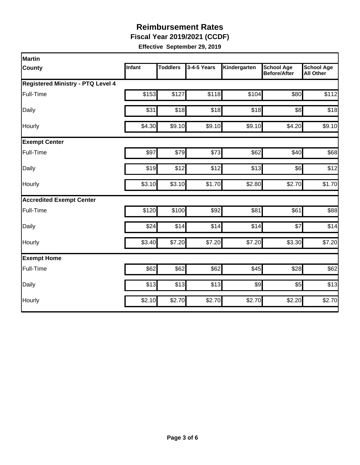**Fiscal Year 2019/2021 (CCDF)**

| Martin                                   |        |                 |             |              |                                          |                                       |
|------------------------------------------|--------|-----------------|-------------|--------------|------------------------------------------|---------------------------------------|
| County                                   | Infant | <b>Toddlers</b> | 3-4-5 Years | Kindergarten | <b>School Age</b><br><b>Before/After</b> | <b>School Age</b><br><b>All Other</b> |
| <b>Registered Ministry - PTQ Level 4</b> |        |                 |             |              |                                          |                                       |
| Full-Time                                | \$153  | \$127           | \$118       | \$104        | \$80                                     | \$112                                 |
| Daily                                    | \$31   | \$18            | \$18        | \$18         | 88                                       | \$18                                  |
| Hourly                                   | \$4.30 | \$9.10          | \$9.10      | \$9.10       | \$4.20                                   | \$9.10                                |
| <b>Exempt Center</b>                     |        |                 |             |              |                                          |                                       |
| Full-Time                                | \$97   | \$79            | \$73        | \$62         | \$40                                     | \$68                                  |
| Daily                                    | \$19   | \$12            | \$12        | \$13         | \$6]                                     | \$12                                  |
| Hourly                                   | \$3.10 | \$3.10          | \$1.70      | \$2.80       | \$2.70                                   | \$1.70                                |
| <b>Accredited Exempt Center</b>          |        |                 |             |              |                                          |                                       |
| Full-Time                                | \$120  | \$100           | \$92        | \$81         | \$61                                     | \$88                                  |
| Daily                                    | \$24   | \$14            | \$14        | \$14         | \$7                                      | \$14                                  |
| Hourly                                   | \$3.40 | \$7.20          | \$7.20      | \$7.20       | \$3.30                                   | \$7.20                                |
| <b>Exempt Home</b>                       |        |                 |             |              |                                          |                                       |
| Full-Time                                | \$62   | \$62            | \$62        | \$45         | \$28                                     | \$62                                  |
| Daily                                    | \$13   | \$13            | \$13        | \$9          | \$5                                      | \$13                                  |
| Hourly                                   | \$2.10 | \$2.70          | \$2.70      | \$2.70       | \$2.20                                   | \$2.70                                |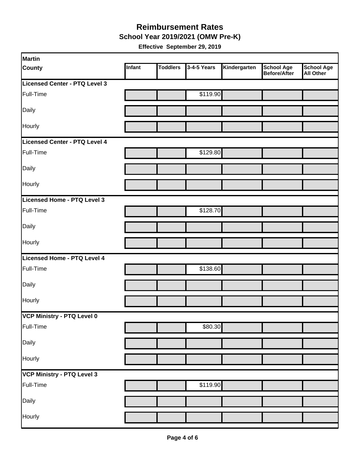#### **School Year 2019/2021 (OMW Pre-K) Reimbursement Rates**

| Martin                        |        |                 |             |              |                            |                         |
|-------------------------------|--------|-----------------|-------------|--------------|----------------------------|-------------------------|
| <b>County</b>                 | Infant | <b>Toddlers</b> | 3-4-5 Years | Kindergarten | School Age<br>Before/After | School Age<br>All Other |
| Licensed Center - PTQ Level 3 |        |                 |             |              |                            |                         |
| Full-Time                     |        |                 | \$119.90    |              |                            |                         |
| Daily                         |        |                 |             |              |                            |                         |
| Hourly                        |        |                 |             |              |                            |                         |
| Licensed Center - PTQ Level 4 |        |                 |             |              |                            |                         |
| Full-Time                     |        |                 | \$129.80    |              |                            |                         |
| Daily                         |        |                 |             |              |                            |                         |
| Hourly                        |        |                 |             |              |                            |                         |
| Licensed Home - PTQ Level 3   |        |                 |             |              |                            |                         |
| Full-Time                     |        |                 | \$128.70    |              |                            |                         |
| Daily                         |        |                 |             |              |                            |                         |
| Hourly                        |        |                 |             |              |                            |                         |
| Licensed Home - PTQ Level 4   |        |                 |             |              |                            |                         |
| Full-Time                     |        |                 | \$138.60    |              |                            |                         |
| Daily                         |        |                 |             |              |                            |                         |
| Hourly                        |        |                 |             |              |                            |                         |
| VCP Ministry - PTQ Level 0    |        |                 |             |              |                            |                         |
| Full-Time                     |        |                 | \$80.30     |              |                            |                         |
| Daily                         |        |                 |             |              |                            |                         |
| Hourly                        |        |                 |             |              |                            |                         |
| VCP Ministry - PTQ Level 3    |        |                 |             |              |                            |                         |
| Full-Time                     |        |                 | \$119.90    |              |                            |                         |
| Daily                         |        |                 |             |              |                            |                         |
| Hourly                        |        |                 |             |              |                            |                         |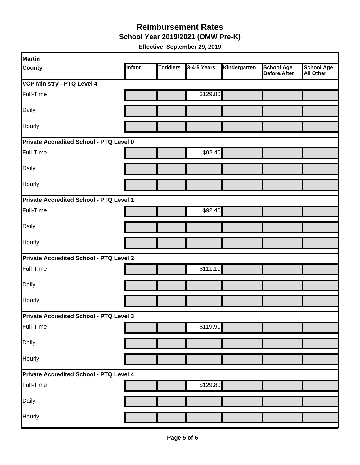**School Year 2019/2021 (OMW Pre-K)**

| Martin                                         |        |                 |             |              |                                   |                                       |  |  |
|------------------------------------------------|--------|-----------------|-------------|--------------|-----------------------------------|---------------------------------------|--|--|
| <b>County</b>                                  | Infant | <b>Toddlers</b> | 3-4-5 Years | Kindergarten | <b>School Age</b><br>Before/After | <b>School Age</b><br><b>All Other</b> |  |  |
| <b>VCP Ministry - PTQ Level 4</b>              |        |                 |             |              |                                   |                                       |  |  |
| Full-Time                                      |        |                 | \$129.80    |              |                                   |                                       |  |  |
| Daily                                          |        |                 |             |              |                                   |                                       |  |  |
| Hourly                                         |        |                 |             |              |                                   |                                       |  |  |
| Private Accredited School - PTQ Level 0        |        |                 |             |              |                                   |                                       |  |  |
| Full-Time                                      |        |                 | \$92.40     |              |                                   |                                       |  |  |
| Daily                                          |        |                 |             |              |                                   |                                       |  |  |
| Hourly                                         |        |                 |             |              |                                   |                                       |  |  |
| Private Accredited School - PTQ Level 1        |        |                 |             |              |                                   |                                       |  |  |
| Full-Time                                      |        |                 | \$92.40     |              |                                   |                                       |  |  |
| Daily                                          |        |                 |             |              |                                   |                                       |  |  |
| Hourly                                         |        |                 |             |              |                                   |                                       |  |  |
| <b>Private Accredited School - PTQ Level 2</b> |        |                 |             |              |                                   |                                       |  |  |
| Full-Time                                      |        |                 | \$111.10    |              |                                   |                                       |  |  |
| Daily                                          |        |                 |             |              |                                   |                                       |  |  |
| Hourly                                         |        |                 |             |              |                                   |                                       |  |  |
| <b>Private Accredited School - PTQ Level 3</b> |        |                 |             |              |                                   |                                       |  |  |
| Full-Time                                      |        |                 | \$119.90    |              |                                   |                                       |  |  |
| Daily                                          |        |                 |             |              |                                   |                                       |  |  |
| Hourly                                         |        |                 |             |              |                                   |                                       |  |  |
| Private Accredited School - PTQ Level 4        |        |                 |             |              |                                   |                                       |  |  |
| Full-Time                                      |        |                 | \$129.80    |              |                                   |                                       |  |  |
| Daily                                          |        |                 |             |              |                                   |                                       |  |  |
| Hourly                                         |        |                 |             |              |                                   |                                       |  |  |